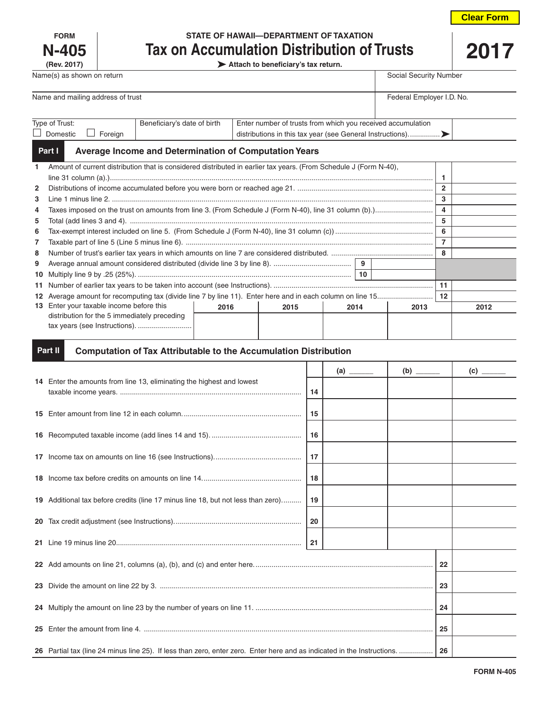| <b>Clear Form</b> |  |
|-------------------|--|
|                   |  |

| <b>FORM</b>  |
|--------------|
| <b>N-405</b> |
| (Rev. 2017)  |

# **STATE OF HAWAII—DEPARTMENT OF TAXATION Tax on Accumulation Distribution of Trusts**

**(Rev. 2017) Attach to beneficiary's tax return.**

| ×. |
|----|
|    |

| Name and mailing address of trust<br>Federal Employer I.D. No.<br>Beneficiary's date of birth<br>Enter number of trusts from which you received accumulation<br>Type of Trust: | Name(s) as shown on return |  | Social Security Number |
|--------------------------------------------------------------------------------------------------------------------------------------------------------------------------------|----------------------------|--|------------------------|
|                                                                                                                                                                                |                            |  |                        |
|                                                                                                                                                                                | Domestic<br>Foreian        |  |                        |

#### **Average Income and Determination of Computation Years Part I**

| $\mathbf{1}$   | Amount of current distribution that is considered distributed in earlier tax years. (From Schedule J (Form N-40), |  |  |  |  |  |              |  |
|----------------|-------------------------------------------------------------------------------------------------------------------|--|--|--|--|--|--------------|--|
|                |                                                                                                                   |  |  |  |  |  |              |  |
| $\mathbf{2}$   |                                                                                                                   |  |  |  |  |  | $\mathbf{2}$ |  |
| 3              |                                                                                                                   |  |  |  |  |  | 3            |  |
| 4              |                                                                                                                   |  |  |  |  |  | 4            |  |
| 5              |                                                                                                                   |  |  |  |  |  | 5            |  |
| 6              |                                                                                                                   |  |  |  |  |  | 6            |  |
| $\overline{7}$ |                                                                                                                   |  |  |  |  |  |              |  |
| 8              |                                                                                                                   |  |  |  |  |  | 8            |  |
| 9              |                                                                                                                   |  |  |  |  |  |              |  |
|                | 10                                                                                                                |  |  |  |  |  |              |  |
|                |                                                                                                                   |  |  |  |  |  | 11           |  |
|                |                                                                                                                   |  |  |  |  |  | 12           |  |
|                | 13 Enter your taxable income before this<br>2016<br>2015<br>2013<br>2014                                          |  |  |  |  |  | 2012         |  |
|                | distribution for the 5 immediately preceding                                                                      |  |  |  |  |  |              |  |
|                | tax years (see Instructions).                                                                                     |  |  |  |  |  |              |  |
|                |                                                                                                                   |  |  |  |  |  |              |  |

#### **Computation of Tax Attributable to the Accumulation Distribution Part II**

|                                                                                                                         | (b) | $\overline{c}$ |  |  |  |
|-------------------------------------------------------------------------------------------------------------------------|-----|----------------|--|--|--|
| 14 Enter the amounts from line 13, eliminating the highest and lowest                                                   | 14  |                |  |  |  |
|                                                                                                                         | 15  |                |  |  |  |
|                                                                                                                         | 16  |                |  |  |  |
|                                                                                                                         |     |                |  |  |  |
|                                                                                                                         |     |                |  |  |  |
| 19 Additional tax before credits (line 17 minus line 18, but not less than zero)                                        |     |                |  |  |  |
|                                                                                                                         |     |                |  |  |  |
|                                                                                                                         | 21  |                |  |  |  |
|                                                                                                                         |     |                |  |  |  |
|                                                                                                                         |     |                |  |  |  |
|                                                                                                                         |     |                |  |  |  |
|                                                                                                                         |     |                |  |  |  |
| 26 Partial tax (line 24 minus line 25). If less than zero, enter zero. Enter here and as indicated in the Instructions. |     |                |  |  |  |